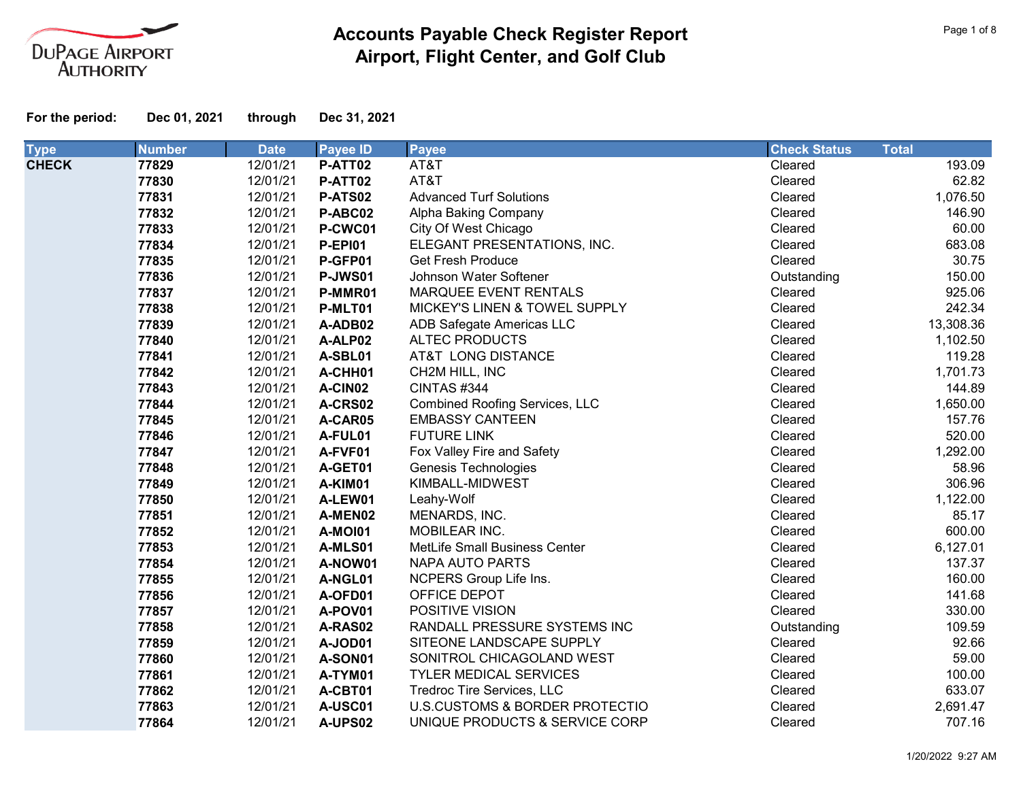

| <b>Type</b>  | <b>Number</b> | <b>Date</b> | <b>Payee ID</b> | <b>Payee</b>                          | <b>Check Status</b> | <b>Total</b> |
|--------------|---------------|-------------|-----------------|---------------------------------------|---------------------|--------------|
| <b>CHECK</b> | 77829         | 12/01/21    | P-ATT02         | AT&T                                  | Cleared             | 193.09       |
|              | 77830         | 12/01/21    | P-ATT02         | AT&T                                  | Cleared             | 62.82        |
|              | 77831         | 12/01/21    | P-ATS02         | <b>Advanced Turf Solutions</b>        | Cleared             | 1,076.50     |
|              | 77832         | 12/01/21    | P-ABC02         | Alpha Baking Company                  | Cleared             | 146.90       |
|              | 77833         | 12/01/21    | P-CWC01         | City Of West Chicago                  | Cleared             | 60.00        |
|              | 77834         | 12/01/21    | <b>P-EPI01</b>  | ELEGANT PRESENTATIONS, INC.           | Cleared             | 683.08       |
|              | 77835         | 12/01/21    | P-GFP01         | <b>Get Fresh Produce</b>              | Cleared             | 30.75        |
|              | 77836         | 12/01/21    | P-JWS01         | Johnson Water Softener                | Outstanding         | 150.00       |
|              | 77837         | 12/01/21    | P-MMR01         | MARQUEE EVENT RENTALS                 | Cleared             | 925.06       |
|              | 77838         | 12/01/21    | P-MLT01         | MICKEY'S LINEN & TOWEL SUPPLY         | Cleared             | 242.34       |
|              | 77839         | 12/01/21    | A-ADB02         | ADB Safegate Americas LLC             | Cleared             | 13,308.36    |
|              | 77840         | 12/01/21    | A-ALP02         | <b>ALTEC PRODUCTS</b>                 | Cleared             | 1,102.50     |
|              | 77841         | 12/01/21    | A-SBL01         | AT&T LONG DISTANCE                    | Cleared             | 119.28       |
|              | 77842         | 12/01/21    | A-CHH01         | CH2M HILL, INC                        | Cleared             | 1,701.73     |
|              | 77843         | 12/01/21    | A-CIN02         | CINTAS #344                           | Cleared             | 144.89       |
|              | 77844         | 12/01/21    | A-CRS02         | <b>Combined Roofing Services, LLC</b> | Cleared             | 1,650.00     |
|              | 77845         | 12/01/21    | A-CAR05         | <b>EMBASSY CANTEEN</b>                | Cleared             | 157.76       |
|              | 77846         | 12/01/21    | A-FUL01         | <b>FUTURE LINK</b>                    | Cleared             | 520.00       |
|              | 77847         | 12/01/21    | A-FVF01         | Fox Valley Fire and Safety            | Cleared             | 1,292.00     |
|              | 77848         | 12/01/21    | A-GET01         | Genesis Technologies                  | Cleared             | 58.96        |
|              | 77849         | 12/01/21    | A-KIM01         | KIMBALL-MIDWEST                       | Cleared             | 306.96       |
|              | 77850         | 12/01/21    | A-LEW01         | Leahy-Wolf                            | Cleared             | 1,122.00     |
|              | 77851         | 12/01/21    | A-MEN02         | MENARDS, INC.                         | Cleared             | 85.17        |
|              | 77852         | 12/01/21    | <b>A-MOI01</b>  | MOBILEAR INC.                         | Cleared             | 600.00       |
|              | 77853         | 12/01/21    | A-MLS01         | MetLife Small Business Center         | Cleared             | 6,127.01     |
|              | 77854         | 12/01/21    | A-NOW01         | <b>NAPA AUTO PARTS</b>                | Cleared             | 137.37       |
|              | 77855         | 12/01/21    | A-NGL01         | NCPERS Group Life Ins.                | Cleared             | 160.00       |
|              | 77856         | 12/01/21    | A-OFD01         | OFFICE DEPOT                          | Cleared             | 141.68       |
|              | 77857         | 12/01/21    | A-POV01         | POSITIVE VISION                       | Cleared             | 330.00       |
|              | 77858         | 12/01/21    | A-RAS02         | RANDALL PRESSURE SYSTEMS INC          | Outstanding         | 109.59       |
|              | 77859         | 12/01/21    | A-JOD01         | SITEONE LANDSCAPE SUPPLY              | Cleared             | 92.66        |
|              | 77860         | 12/01/21    | A-SON01         | SONITROL CHICAGOLAND WEST             | Cleared             | 59.00        |
|              | 77861         | 12/01/21    | A-TYM01         | <b>TYLER MEDICAL SERVICES</b>         | Cleared             | 100.00       |
|              | 77862         | 12/01/21    | A-CBT01         | Tredroc Tire Services, LLC            | Cleared             | 633.07       |
|              | 77863         | 12/01/21    | A-USC01         | U.S.CUSTOMS & BORDER PROTECTIO        | Cleared             | 2,691.47     |
|              | 77864         | 12/01/21    | A-UPS02         | UNIQUE PRODUCTS & SERVICE CORP        | Cleared             | 707.16       |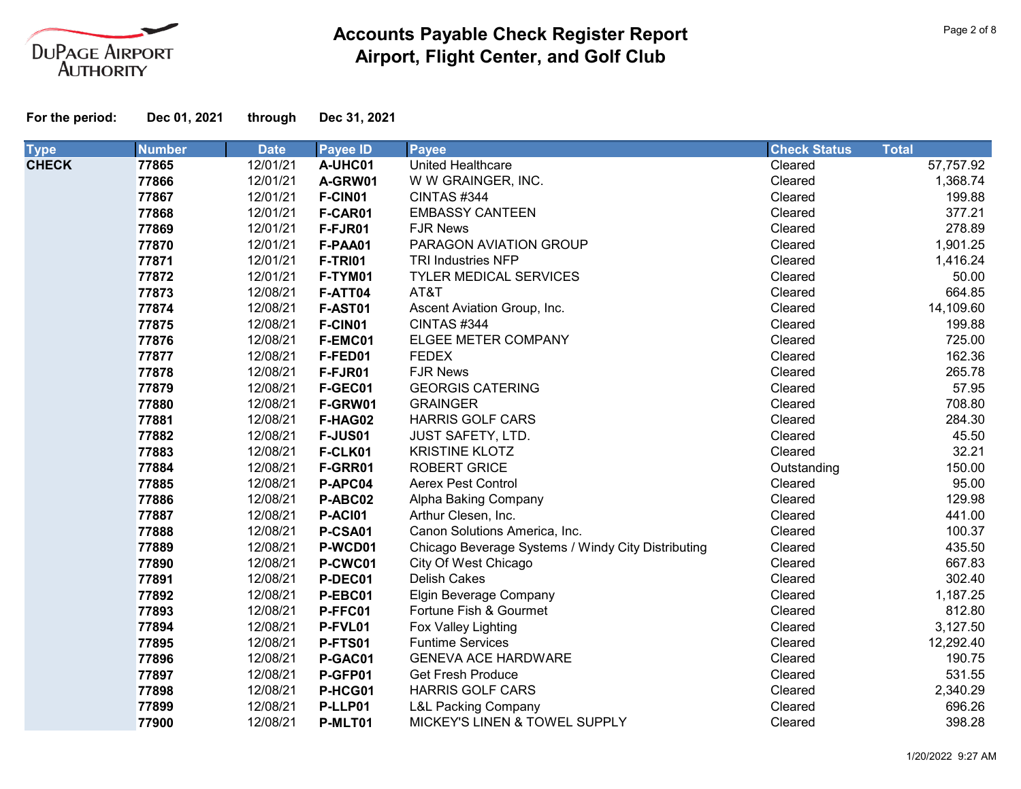

| <b>Type</b>  | <b>Number</b> | <b>Date</b> | <b>Payee ID</b> | <b>Payee</b>                                       | <b>Check Status</b> | <b>Total</b> |
|--------------|---------------|-------------|-----------------|----------------------------------------------------|---------------------|--------------|
| <b>CHECK</b> | 77865         | 12/01/21    | A-UHC01         | United Healthcare                                  | Cleared             | 57,757.92    |
|              | 77866         | 12/01/21    | A-GRW01         | W W GRAINGER, INC.                                 | Cleared             | 1,368.74     |
|              | 77867         | 12/01/21    | F-CIN01         | CINTAS #344                                        | Cleared             | 199.88       |
|              | 77868         | 12/01/21    | F-CAR01         | <b>EMBASSY CANTEEN</b>                             | Cleared             | 377.21       |
|              | 77869         | 12/01/21    | F-FJR01         | <b>FJR News</b>                                    | Cleared             | 278.89       |
|              | 77870         | 12/01/21    | F-PAA01         | PARAGON AVIATION GROUP                             | Cleared             | 1,901.25     |
|              | 77871         | 12/01/21    | <b>F-TRI01</b>  | <b>TRI Industries NFP</b>                          | Cleared             | 1,416.24     |
|              | 77872         | 12/01/21    | F-TYM01         | <b>TYLER MEDICAL SERVICES</b>                      | Cleared             | 50.00        |
|              | 77873         | 12/08/21    | F-ATT04         | AT&T                                               | Cleared             | 664.85       |
|              | 77874         | 12/08/21    | F-AST01         | Ascent Aviation Group, Inc.                        | Cleared             | 14,109.60    |
|              | 77875         | 12/08/21    | F-CIN01         | CINTAS#344                                         | Cleared             | 199.88       |
|              | 77876         | 12/08/21    | F-EMC01         | ELGEE METER COMPANY                                | Cleared             | 725.00       |
|              | 77877         | 12/08/21    | F-FED01         | <b>FEDEX</b>                                       | Cleared             | 162.36       |
|              | 77878         | 12/08/21    | F-FJR01         | <b>FJR News</b>                                    | Cleared             | 265.78       |
|              | 77879         | 12/08/21    | F-GEC01         | <b>GEORGIS CATERING</b>                            | Cleared             | 57.95        |
|              | 77880         | 12/08/21    | F-GRW01         | <b>GRAINGER</b>                                    | Cleared             | 708.80       |
|              | 77881         | 12/08/21    | F-HAG02         | <b>HARRIS GOLF CARS</b>                            | Cleared             | 284.30       |
|              | 77882         | 12/08/21    | <b>F-JUS01</b>  | <b>JUST SAFETY, LTD.</b>                           | Cleared             | 45.50        |
|              | 77883         | 12/08/21    | F-CLK01         | <b>KRISTINE KLOTZ</b>                              | Cleared             | 32.21        |
|              | 77884         | 12/08/21    | F-GRR01         | <b>ROBERT GRICE</b>                                | Outstanding         | 150.00       |
|              | 77885         | 12/08/21    | P-APC04         | <b>Aerex Pest Control</b>                          | Cleared             | 95.00        |
|              | 77886         | 12/08/21    | P-ABC02         | Alpha Baking Company                               | Cleared             | 129.98       |
|              | 77887         | 12/08/21    | <b>P-AC101</b>  | Arthur Clesen, Inc.                                | Cleared             | 441.00       |
|              | 77888         | 12/08/21    | P-CSA01         | Canon Solutions America, Inc.                      | Cleared             | 100.37       |
|              | 77889         | 12/08/21    | P-WCD01         | Chicago Beverage Systems / Windy City Distributing | Cleared             | 435.50       |
|              | 77890         | 12/08/21    | P-CWC01         | City Of West Chicago                               | Cleared             | 667.83       |
|              | 77891         | 12/08/21    | P-DEC01         | <b>Delish Cakes</b>                                | Cleared             | 302.40       |
|              | 77892         | 12/08/21    | P-EBC01         | Elgin Beverage Company                             | Cleared             | 1,187.25     |
|              | 77893         | 12/08/21    | P-FFC01         | Fortune Fish & Gourmet                             | Cleared             | 812.80       |
|              | 77894         | 12/08/21    | P-FVL01         | Fox Valley Lighting                                | Cleared             | 3,127.50     |
|              | 77895         | 12/08/21    | P-FTS01         | <b>Funtime Services</b>                            | Cleared             | 12,292.40    |
|              | 77896         | 12/08/21    | P-GAC01         | <b>GENEVA ACE HARDWARE</b>                         | Cleared             | 190.75       |
|              | 77897         | 12/08/21    | P-GFP01         | <b>Get Fresh Produce</b>                           | Cleared             | 531.55       |
|              | 77898         | 12/08/21    | P-HCG01         | <b>HARRIS GOLF CARS</b>                            | Cleared             | 2,340.29     |
|              | 77899         | 12/08/21    | P-LLP01         | <b>L&amp;L Packing Company</b>                     | Cleared             | 696.26       |
|              | 77900         | 12/08/21    | P-MLT01         | MICKEY'S LINEN & TOWEL SUPPLY                      | Cleared             | 398.28       |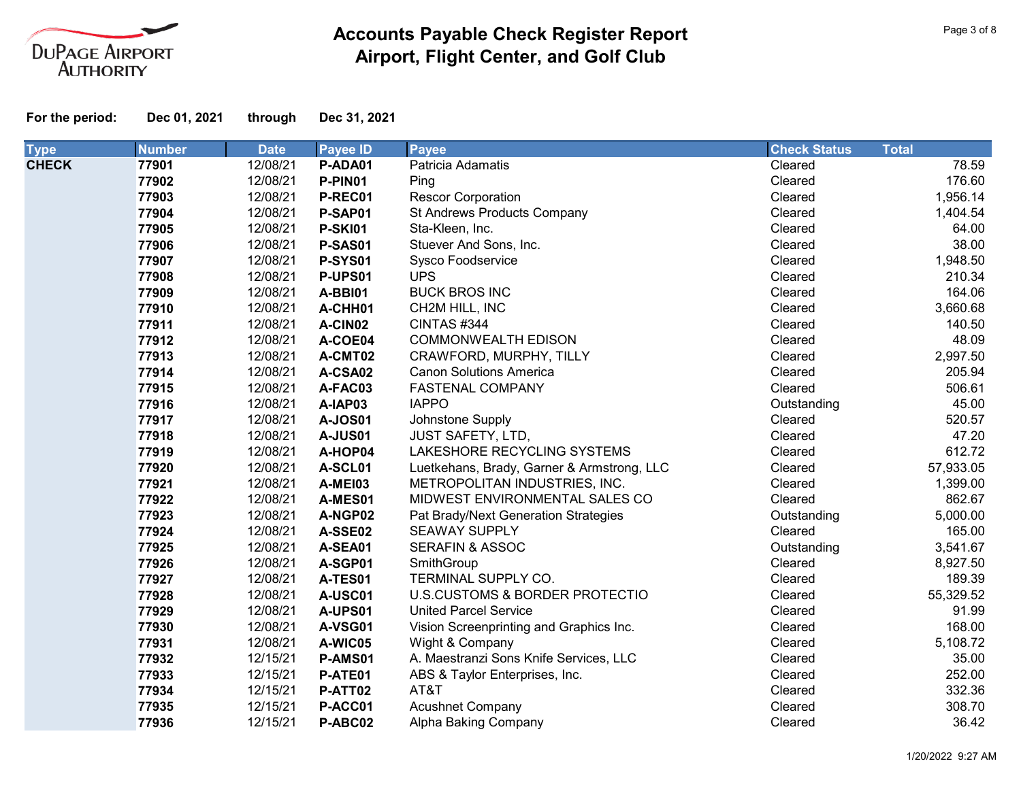

| <b>Type</b>  | <b>Number</b> | <b>Date</b> | <b>Payee ID</b> | <b>Payee</b>                               | <b>Check Status</b> | <b>Total</b> |
|--------------|---------------|-------------|-----------------|--------------------------------------------|---------------------|--------------|
| <b>CHECK</b> | 77901         | 12/08/21    | P-ADA01         | Patricia Adamatis                          | Cleared             | 78.59        |
|              | 77902         | 12/08/21    | P-PIN01         | Ping                                       | Cleared             | 176.60       |
|              | 77903         | 12/08/21    | P-REC01         | <b>Rescor Corporation</b>                  | Cleared             | 1,956.14     |
|              | 77904         | 12/08/21    | P-SAP01         | St Andrews Products Company                | Cleared             | 1,404.54     |
|              | 77905         | 12/08/21    | <b>P-SKI01</b>  | Sta-Kleen, Inc.                            | Cleared             | 64.00        |
|              | 77906         | 12/08/21    | P-SAS01         | Stuever And Sons, Inc.                     | Cleared             | 38.00        |
|              | 77907         | 12/08/21    | <b>P-SYS01</b>  | <b>Sysco Foodservice</b>                   | Cleared             | 1,948.50     |
|              | 77908         | 12/08/21    | P-UPS01         | <b>UPS</b>                                 | Cleared             | 210.34       |
|              | 77909         | 12/08/21    | A-BBI01         | <b>BUCK BROS INC</b>                       | Cleared             | 164.06       |
|              | 77910         | 12/08/21    | A-CHH01         | CH2M HILL, INC                             | Cleared             | 3,660.68     |
|              | 77911         | 12/08/21    | A-CIN02         | CINTAS #344                                | Cleared             | 140.50       |
|              | 77912         | 12/08/21    | A-COE04         | <b>COMMONWEALTH EDISON</b>                 | Cleared             | 48.09        |
|              | 77913         | 12/08/21    | A-CMT02         | CRAWFORD, MURPHY, TILLY                    | Cleared             | 2,997.50     |
|              | 77914         | 12/08/21    | A-CSA02         | <b>Canon Solutions America</b>             | Cleared             | 205.94       |
|              | 77915         | 12/08/21    | A-FAC03         | FASTENAL COMPANY                           | Cleared             | 506.61       |
|              | 77916         | 12/08/21    | A-IAP03         | <b>IAPPO</b>                               | Outstanding         | 45.00        |
|              | 77917         | 12/08/21    | <b>A-JOS01</b>  | Johnstone Supply                           | Cleared             | 520.57       |
|              | 77918         | 12/08/21    | <b>A-JUS01</b>  | <b>JUST SAFETY, LTD,</b>                   | Cleared             | 47.20        |
|              | 77919         | 12/08/21    | A-HOP04         | LAKESHORE RECYCLING SYSTEMS                | Cleared             | 612.72       |
|              | 77920         | 12/08/21    | A-SCL01         | Luetkehans, Brady, Garner & Armstrong, LLC | Cleared             | 57,933.05    |
|              | 77921         | 12/08/21    | A-MEI03         | METROPOLITAN INDUSTRIES, INC.              | Cleared             | 1,399.00     |
|              | 77922         | 12/08/21    | A-MES01         | MIDWEST ENVIRONMENTAL SALES CO             | Cleared             | 862.67       |
|              | 77923         | 12/08/21    | A-NGP02         | Pat Brady/Next Generation Strategies       | Outstanding         | 5,000.00     |
|              | 77924         | 12/08/21    | A-SSE02         | <b>SEAWAY SUPPLY</b>                       | Cleared             | 165.00       |
|              | 77925         | 12/08/21    | A-SEA01         | <b>SERAFIN &amp; ASSOC</b>                 | Outstanding         | 3,541.67     |
|              | 77926         | 12/08/21    | A-SGP01         | SmithGroup                                 | Cleared             | 8,927.50     |
|              | 77927         | 12/08/21    | A-TES01         | TERMINAL SUPPLY CO.                        | Cleared             | 189.39       |
|              | 77928         | 12/08/21    | A-USC01         | U.S.CUSTOMS & BORDER PROTECTIO             | Cleared             | 55,329.52    |
|              | 77929         | 12/08/21    | A-UPS01         | <b>United Parcel Service</b>               | Cleared             | 91.99        |
|              | 77930         | 12/08/21    | A-VSG01         | Vision Screenprinting and Graphics Inc.    | Cleared             | 168.00       |
|              | 77931         | 12/08/21    | A-WIC05         | Wight & Company                            | Cleared             | 5,108.72     |
|              | 77932         | 12/15/21    | P-AMS01         | A. Maestranzi Sons Knife Services, LLC     | Cleared             | 35.00        |
|              | 77933         | 12/15/21    | P-ATE01         | ABS & Taylor Enterprises, Inc.             | Cleared             | 252.00       |
|              | 77934         | 12/15/21    | P-ATT02         | AT&T                                       | Cleared             | 332.36       |
|              | 77935         | 12/15/21    | P-ACC01         | <b>Acushnet Company</b>                    | Cleared             | 308.70       |
|              | 77936         | 12/15/21    | P-ABC02         | Alpha Baking Company                       | Cleared             | 36.42        |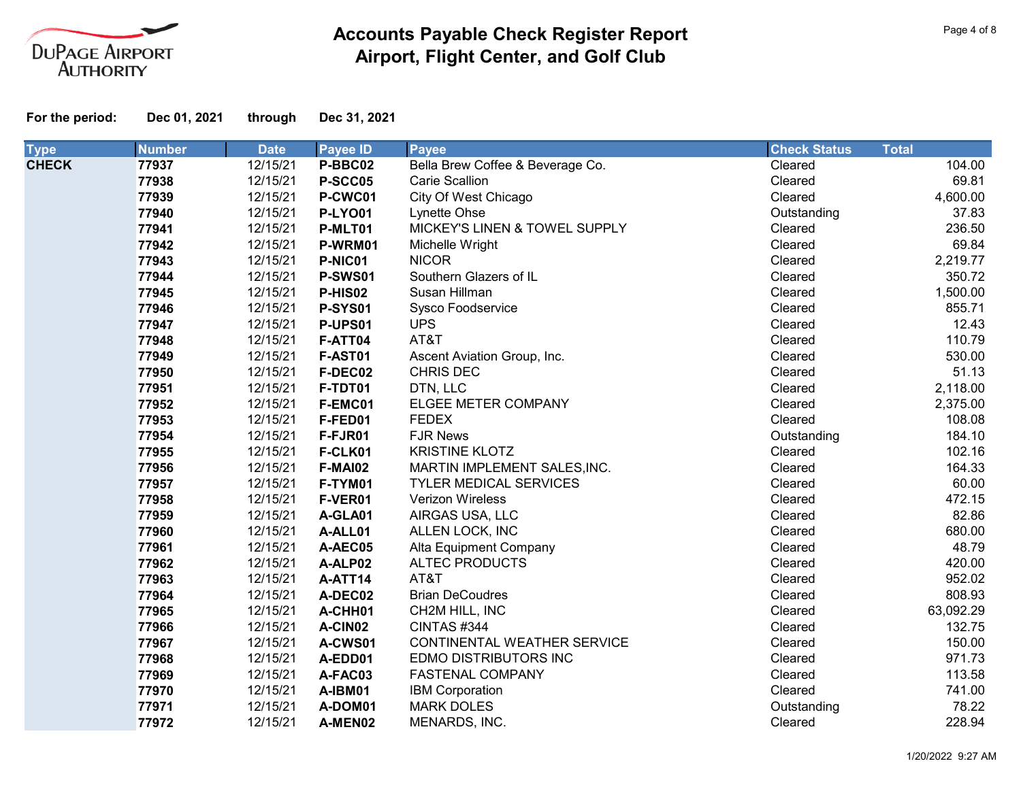

| <b>Type</b>  | <b>Number</b> | <b>Date</b> | <b>Payee ID</b> | <b>Payee</b>                     | <b>Check Status</b> | <b>Total</b> |           |
|--------------|---------------|-------------|-----------------|----------------------------------|---------------------|--------------|-----------|
| <b>CHECK</b> | 77937         | 12/15/21    | P-BBC02         | Bella Brew Coffee & Beverage Co. | Cleared             |              | 104.00    |
|              | 77938         | 12/15/21    | P-SCC05         | <b>Carie Scallion</b>            | Cleared             |              | 69.81     |
|              | 77939         | 12/15/21    | P-CWC01         | City Of West Chicago             | Cleared             |              | 4,600.00  |
|              | 77940         | 12/15/21    | <b>P-LYO01</b>  | Lynette Ohse                     | Outstanding         |              | 37.83     |
|              | 77941         | 12/15/21    | P-MLT01         | MICKEY'S LINEN & TOWEL SUPPLY    | Cleared             |              | 236.50    |
|              | 77942         | 12/15/21    | P-WRM01         | Michelle Wright                  | Cleared             |              | 69.84     |
|              | 77943         | 12/15/21    | P-NIC01         | <b>NICOR</b>                     | Cleared             |              | 2,219.77  |
|              | 77944         | 12/15/21    | <b>P-SWS01</b>  | Southern Glazers of IL           | Cleared             |              | 350.72    |
|              | 77945         | 12/15/21    | P-HIS02         | Susan Hillman                    | Cleared             |              | 1,500.00  |
|              | 77946         | 12/15/21    | <b>P-SYS01</b>  | Sysco Foodservice                | Cleared             |              | 855.71    |
|              | 77947         | 12/15/21    | P-UPS01         | <b>UPS</b>                       | Cleared             |              | 12.43     |
|              | 77948         | 12/15/21    | F-ATT04         | AT&T                             | Cleared             |              | 110.79    |
|              | 77949         | 12/15/21    | F-AST01         | Ascent Aviation Group, Inc.      | Cleared             |              | 530.00    |
|              | 77950         | 12/15/21    | F-DEC02         | <b>CHRIS DEC</b>                 | Cleared             |              | 51.13     |
|              | 77951         | 12/15/21    | F-TDT01         | DTN, LLC                         | Cleared             |              | 2,118.00  |
|              | 77952         | 12/15/21    | F-EMC01         | ELGEE METER COMPANY              | Cleared             |              | 2,375.00  |
|              | 77953         | 12/15/21    | F-FED01         | <b>FEDEX</b>                     | Cleared             |              | 108.08    |
|              | 77954         | 12/15/21    | F-FJR01         | <b>FJR News</b>                  | Outstanding         |              | 184.10    |
|              | 77955         | 12/15/21    | F-CLK01         | <b>KRISTINE KLOTZ</b>            | Cleared             |              | 102.16    |
|              | 77956         | 12/15/21    | F-MAI02         | MARTIN IMPLEMENT SALES, INC.     | Cleared             |              | 164.33    |
|              | 77957         | 12/15/21    | F-TYM01         | <b>TYLER MEDICAL SERVICES</b>    | Cleared             |              | 60.00     |
|              | 77958         | 12/15/21    | F-VER01         | Verizon Wireless                 | Cleared             |              | 472.15    |
|              | 77959         | 12/15/21    | A-GLA01         | AIRGAS USA, LLC                  | Cleared             |              | 82.86     |
|              | 77960         | 12/15/21    | A-ALL01         | ALLEN LOCK, INC                  | Cleared             |              | 680.00    |
|              | 77961         | 12/15/21    | A-AEC05         | Alta Equipment Company           | Cleared             |              | 48.79     |
|              | 77962         | 12/15/21    | A-ALP02         | <b>ALTEC PRODUCTS</b>            | Cleared             |              | 420.00    |
|              | 77963         | 12/15/21    | A-ATT14         | AT&T                             | Cleared             |              | 952.02    |
|              | 77964         | 12/15/21    | A-DEC02         | <b>Brian DeCoudres</b>           | Cleared             |              | 808.93    |
|              | 77965         | 12/15/21    | A-CHH01         | CH2M HILL, INC                   | Cleared             |              | 63,092.29 |
|              | 77966         | 12/15/21    | A-CIN02         | CINTAS #344                      | Cleared             |              | 132.75    |
|              | 77967         | 12/15/21    | A-CWS01         | CONTINENTAL WEATHER SERVICE      | Cleared             |              | 150.00    |
|              | 77968         | 12/15/21    | A-EDD01         | EDMO DISTRIBUTORS INC            | Cleared             |              | 971.73    |
|              | 77969         | 12/15/21    | A-FAC03         | <b>FASTENAL COMPANY</b>          | Cleared             |              | 113.58    |
|              | 77970         | 12/15/21    | A-IBM01         | <b>IBM Corporation</b>           | Cleared             |              | 741.00    |
|              | 77971         | 12/15/21    | A-DOM01         | <b>MARK DOLES</b>                | Outstanding         |              | 78.22     |
|              | 77972         | 12/15/21    | A-MEN02         | MENARDS, INC.                    | Cleared             |              | 228.94    |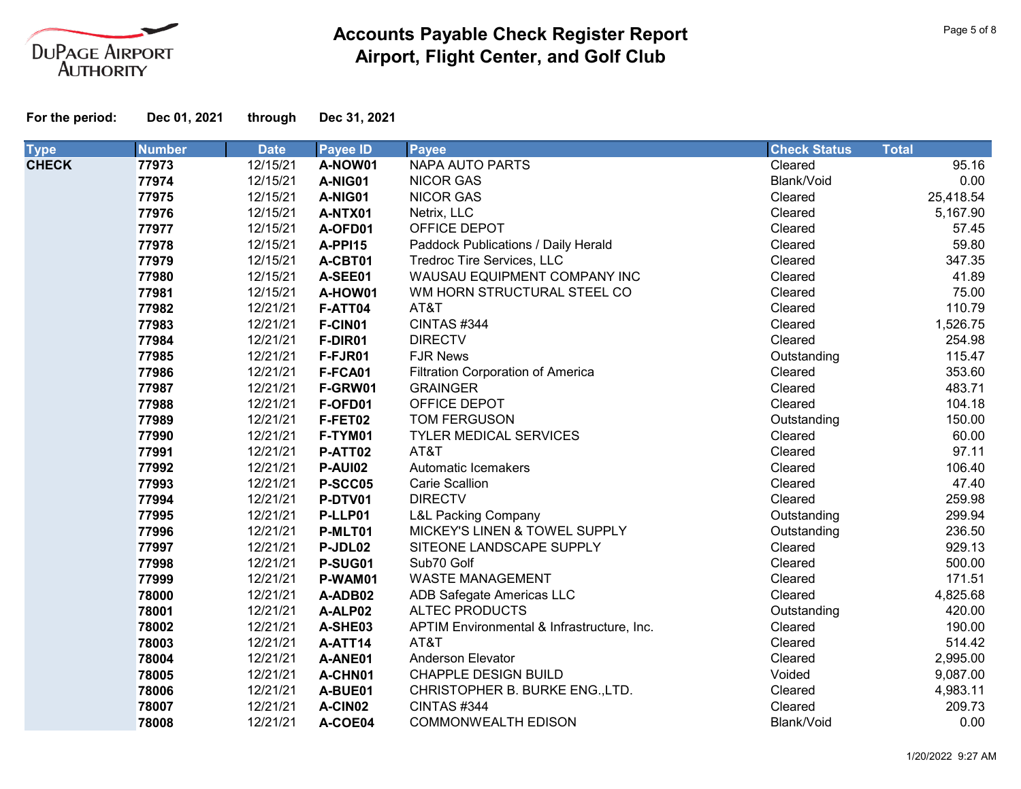

| <b>Type</b>  | <b>Number</b> | <b>Date</b> | <b>Payee ID</b> | <b>Payee</b>                               | <b>Check Status</b> | <b>Total</b> |
|--------------|---------------|-------------|-----------------|--------------------------------------------|---------------------|--------------|
| <b>CHECK</b> | 77973         | 12/15/21    | A-NOW01         | <b>NAPA AUTO PARTS</b>                     | Cleared             | 95.16        |
|              | 77974         | 12/15/21    | A-NIG01         | <b>NICOR GAS</b>                           | Blank/Void          | 0.00         |
|              | 77975         | 12/15/21    | A-NIG01         | <b>NICOR GAS</b>                           | Cleared             | 25,418.54    |
|              | 77976         | 12/15/21    | A-NTX01         | Netrix, LLC                                | Cleared             | 5,167.90     |
|              | 77977         | 12/15/21    | A-OFD01         | OFFICE DEPOT                               | Cleared             | 57.45        |
|              | 77978         | 12/15/21    | A-PPI15         | Paddock Publications / Daily Herald        | Cleared             | 59.80        |
|              | 77979         | 12/15/21    | A-CBT01         | Tredroc Tire Services, LLC                 | Cleared             | 347.35       |
|              | 77980         | 12/15/21    | A-SEE01         | WAUSAU EQUIPMENT COMPANY INC               | Cleared             | 41.89        |
|              | 77981         | 12/15/21    | A-HOW01         | WM HORN STRUCTURAL STEEL CO                | Cleared             | 75.00        |
|              | 77982         | 12/21/21    | F-ATT04         | AT&T                                       | Cleared             | 110.79       |
|              | 77983         | 12/21/21    | F-CIN01         | CINTAS #344                                | Cleared             | 1,526.75     |
|              | 77984         | 12/21/21    | F-DIR01         | <b>DIRECTV</b>                             | Cleared             | 254.98       |
|              | 77985         | 12/21/21    | F-FJR01         | <b>FJR News</b>                            | Outstanding         | 115.47       |
|              | 77986         | 12/21/21    | F-FCA01         | <b>Filtration Corporation of America</b>   | Cleared             | 353.60       |
|              | 77987         | 12/21/21    | F-GRW01         | <b>GRAINGER</b>                            | Cleared             | 483.71       |
|              | 77988         | 12/21/21    | F-OFD01         | OFFICE DEPOT                               | Cleared             | 104.18       |
|              | 77989         | 12/21/21    | F-FET02         | <b>TOM FERGUSON</b>                        | Outstanding         | 150.00       |
|              | 77990         | 12/21/21    | F-TYM01         | <b>TYLER MEDICAL SERVICES</b>              | Cleared             | 60.00        |
|              | 77991         | 12/21/21    | P-ATT02         | AT&T                                       | Cleared             | 97.11        |
|              | 77992         | 12/21/21    | <b>P-AUI02</b>  | Automatic Icemakers                        | Cleared             | 106.40       |
|              | 77993         | 12/21/21    | P-SCC05         | <b>Carie Scallion</b>                      | Cleared             | 47.40        |
|              | 77994         | 12/21/21    | P-DTV01         | <b>DIRECTV</b>                             | Cleared             | 259.98       |
|              | 77995         | 12/21/21    | P-LLP01         | <b>L&amp;L Packing Company</b>             | Outstanding         | 299.94       |
|              | 77996         | 12/21/21    | P-MLT01         | MICKEY'S LINEN & TOWEL SUPPLY              | Outstanding         | 236.50       |
|              | 77997         | 12/21/21    | P-JDL02         | SITEONE LANDSCAPE SUPPLY                   | Cleared             | 929.13       |
|              | 77998         | 12/21/21    | P-SUG01         | Sub70 Golf                                 | Cleared             | 500.00       |
|              | 77999         | 12/21/21    | P-WAM01         | <b>WASTE MANAGEMENT</b>                    | Cleared             | 171.51       |
|              | 78000         | 12/21/21    | A-ADB02         | ADB Safegate Americas LLC                  | Cleared             | 4,825.68     |
|              | 78001         | 12/21/21    | A-ALP02         | <b>ALTEC PRODUCTS</b>                      | Outstanding         | 420.00       |
|              | 78002         | 12/21/21    | A-SHE03         | APTIM Environmental & Infrastructure, Inc. | Cleared             | 190.00       |
|              | 78003         | 12/21/21    | A-ATT14         | AT&T                                       | Cleared             | 514.42       |
|              | 78004         | 12/21/21    | A-ANE01         | Anderson Elevator                          | Cleared             | 2,995.00     |
|              | 78005         | 12/21/21    | A-CHN01         | CHAPPLE DESIGN BUILD                       | Voided              | 9,087.00     |
|              | 78006         | 12/21/21    | A-BUE01         | CHRISTOPHER B. BURKE ENG., LTD.            | Cleared             | 4,983.11     |
|              | 78007         | 12/21/21    | A-CIN02         | CINTAS #344                                | Cleared             | 209.73       |
|              | 78008         | 12/21/21    | A-COE04         | <b>COMMONWEALTH EDISON</b>                 | Blank/Void          | 0.00         |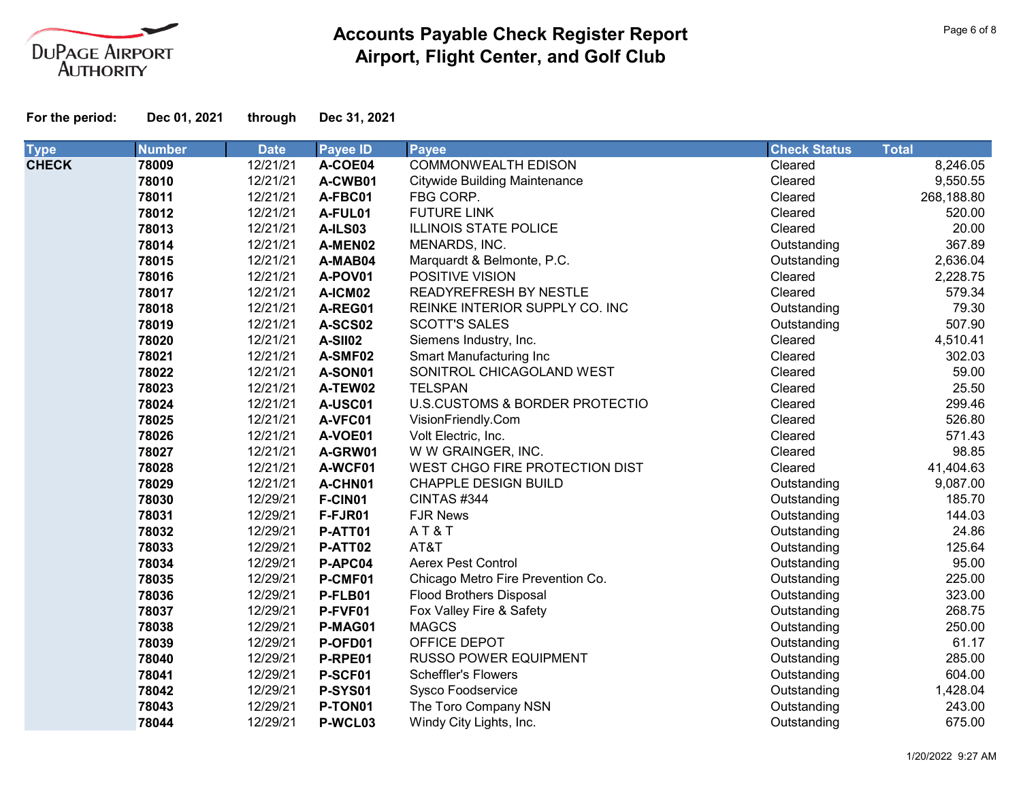

**For the period: Dec 01, 2021 through Dec 31, 2021**

| <b>Type</b>  | <b>Number</b> | <b>Date</b> | <b>Payee ID</b> | <b>Payee</b>                         | <b>Check Status</b> | <b>Total</b> |
|--------------|---------------|-------------|-----------------|--------------------------------------|---------------------|--------------|
| <b>CHECK</b> | 78009         | 12/21/21    | A-COE04         | <b>COMMONWEALTH EDISON</b>           | Cleared             | 8,246.05     |
|              | 78010         | 12/21/21    | A-CWB01         | <b>Citywide Building Maintenance</b> | Cleared             | 9,550.55     |
|              | 78011         | 12/21/21    | A-FBC01         | FBG CORP.                            | Cleared             | 268,188.80   |
|              | 78012         | 12/21/21    | A-FUL01         | <b>FUTURE LINK</b>                   | Cleared             | 520.00       |
|              | 78013         | 12/21/21    | A-ILS03         | <b>ILLINOIS STATE POLICE</b>         | Cleared             | 20.00        |
|              | 78014         | 12/21/21    | A-MEN02         | MENARDS, INC.                        | Outstanding         | 367.89       |
|              | 78015         | 12/21/21    | A-MAB04         | Marquardt & Belmonte, P.C.           | Outstanding         | 2,636.04     |
|              | 78016         | 12/21/21    | A-POV01         | POSITIVE VISION                      | Cleared             | 2,228.75     |
|              | 78017         | 12/21/21    | A-ICM02         | READYREFRESH BY NESTLE               | Cleared             | 579.34       |
|              | 78018         | 12/21/21    | A-REG01         | REINKE INTERIOR SUPPLY CO. INC       | Outstanding         | 79.30        |
|              | 78019         | 12/21/21    | A-SCS02         | <b>SCOTT'S SALES</b>                 | Outstanding         | 507.90       |
|              | 78020         | 12/21/21    | A-SII02         | Siemens Industry, Inc.               | Cleared             | 4,510.41     |
|              | 78021         | 12/21/21    | A-SMF02         | Smart Manufacturing Inc              | Cleared             | 302.03       |
|              | 78022         | 12/21/21    | A-SON01         | SONITROL CHICAGOLAND WEST            | Cleared             | 59.00        |
|              | 78023         | 12/21/21    | A-TEW02         | <b>TELSPAN</b>                       | Cleared             | 25.50        |
|              | 78024         | 12/21/21    | A-USC01         | U.S.CUSTOMS & BORDER PROTECTIO       | Cleared             | 299.46       |
|              | 78025         | 12/21/21    | A-VFC01         | VisionFriendly.Com                   | Cleared             | 526.80       |
|              | 78026         | 12/21/21    | A-VOE01         | Volt Electric, Inc.                  | Cleared             | 571.43       |
|              | 78027         | 12/21/21    | A-GRW01         | W W GRAINGER, INC.                   | Cleared             | 98.85        |
|              | 78028         | 12/21/21    | A-WCF01         | WEST CHGO FIRE PROTECTION DIST       | Cleared             | 41,404.63    |
|              | 78029         | 12/21/21    | A-CHN01         | <b>CHAPPLE DESIGN BUILD</b>          | Outstanding         | 9,087.00     |
|              | 78030         | 12/29/21    | F-CIN01         | CINTAS #344                          | Outstanding         | 185.70       |
|              | 78031         | 12/29/21    | F-FJR01         | <b>FJR News</b>                      | Outstanding         | 144.03       |
|              | 78032         | 12/29/21    | P-ATT01         | AT&T                                 | Outstanding         | 24.86        |
|              | 78033         | 12/29/21    | P-ATT02         | AT&T                                 | Outstanding         | 125.64       |
|              | 78034         | 12/29/21    | P-APC04         | <b>Aerex Pest Control</b>            | Outstanding         | 95.00        |
|              | 78035         | 12/29/21    | P-CMF01         | Chicago Metro Fire Prevention Co.    | Outstanding         | 225.00       |
|              | 78036         | 12/29/21    | P-FLB01         | <b>Flood Brothers Disposal</b>       | Outstanding         | 323.00       |
|              | 78037         | 12/29/21    | P-FVF01         | Fox Valley Fire & Safety             | Outstanding         | 268.75       |
|              | 78038         | 12/29/21    | P-MAG01         | <b>MAGCS</b>                         | Outstanding         | 250.00       |
|              | 78039         | 12/29/21    | P-OFD01         | OFFICE DEPOT                         | Outstanding         | 61.17        |
|              | 78040         | 12/29/21    | P-RPE01         | <b>RUSSO POWER EQUIPMENT</b>         | Outstanding         | 285.00       |
|              | 78041         | 12/29/21    | P-SCF01         | <b>Scheffler's Flowers</b>           | Outstanding         | 604.00       |
|              | 78042         | 12/29/21    | <b>P-SYS01</b>  | Sysco Foodservice                    | Outstanding         | 1,428.04     |
|              | 78043         | 12/29/21    | P-TON01         | The Toro Company NSN                 | Outstanding         | 243.00       |
|              | 78044         | 12/29/21    | P-WCL03         | Windy City Lights, Inc.              | Outstanding         | 675.00       |

Page 6 of 8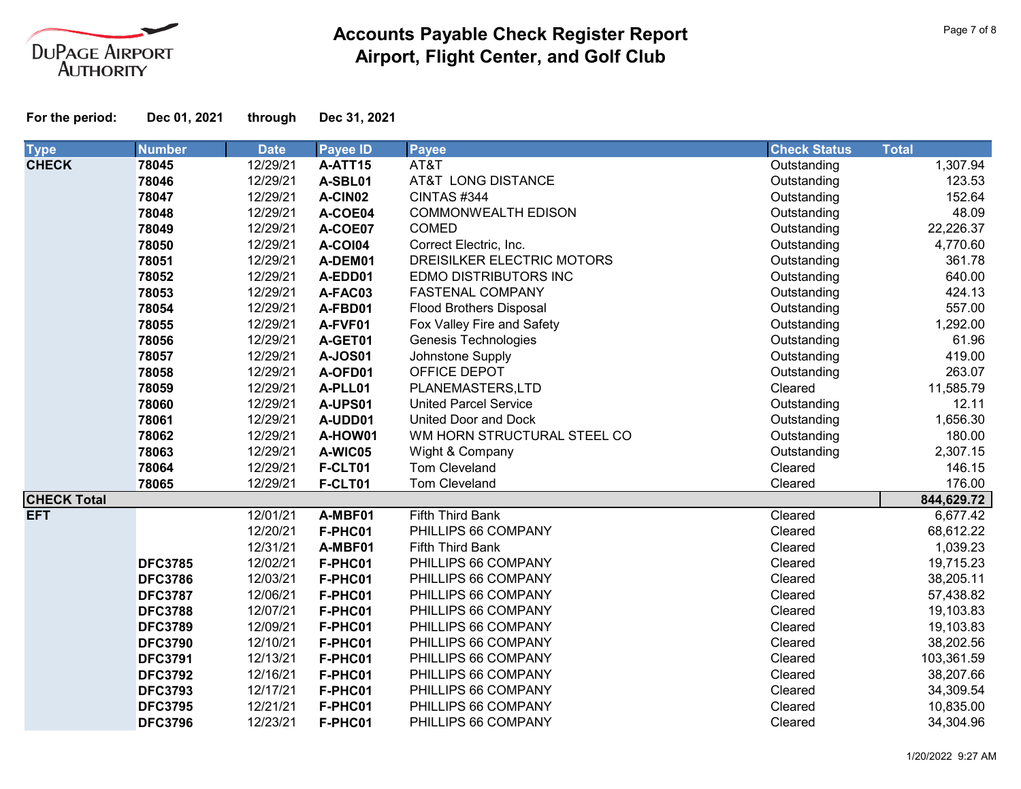

| <b>Type</b>        | <b>Number</b>  | <b>Date</b> | <b>Payee ID</b> | <b>Payee</b>                   | <b>Check Status</b> | <b>Total</b> |
|--------------------|----------------|-------------|-----------------|--------------------------------|---------------------|--------------|
| <b>CHECK</b>       | 78045          | 12/29/21    | A-ATT15         | AT&T                           | Outstanding         | 1,307.94     |
|                    | 78046          | 12/29/21    | A-SBL01         | AT&T LONG DISTANCE             | Outstanding         | 123.53       |
|                    | 78047          | 12/29/21    | A-CIN02         | CINTAS #344                    | Outstanding         | 152.64       |
|                    | 78048          | 12/29/21    | A-COE04         | <b>COMMONWEALTH EDISON</b>     | Outstanding         | 48.09        |
|                    | 78049          | 12/29/21    | A-COE07         | <b>COMED</b>                   | Outstanding         | 22,226.37    |
|                    | 78050          | 12/29/21    | <b>A-COI04</b>  | Correct Electric, Inc.         | Outstanding         | 4,770.60     |
|                    | 78051          | 12/29/21    | A-DEM01         | DREISILKER ELECTRIC MOTORS     | Outstanding         | 361.78       |
|                    | 78052          | 12/29/21    | A-EDD01         | EDMO DISTRIBUTORS INC          | Outstanding         | 640.00       |
|                    | 78053          | 12/29/21    | A-FAC03         | <b>FASTENAL COMPANY</b>        | Outstanding         | 424.13       |
|                    | 78054          | 12/29/21    | A-FBD01         | <b>Flood Brothers Disposal</b> | Outstanding         | 557.00       |
|                    | 78055          | 12/29/21    | A-FVF01         | Fox Valley Fire and Safety     | Outstanding         | 1,292.00     |
|                    | 78056          | 12/29/21    | A-GET01         | <b>Genesis Technologies</b>    | Outstanding         | 61.96        |
|                    | 78057          | 12/29/21    | <b>A-JOS01</b>  | Johnstone Supply               | Outstanding         | 419.00       |
|                    | 78058          | 12/29/21    | A-OFD01         | OFFICE DEPOT                   | Outstanding         | 263.07       |
|                    | 78059          | 12/29/21    | A-PLL01         | PLANEMASTERS,LTD               | Cleared             | 11,585.79    |
|                    | 78060          | 12/29/21    | A-UPS01         | <b>United Parcel Service</b>   | Outstanding         | 12.11        |
|                    | 78061          | 12/29/21    | A-UDD01         | United Door and Dock           | Outstanding         | 1,656.30     |
|                    | 78062          | 12/29/21    | A-HOW01         | WM HORN STRUCTURAL STEEL CO    | Outstanding         | 180.00       |
|                    | 78063          | 12/29/21    | A-WIC05         | Wight & Company                | Outstanding         | 2,307.15     |
|                    | 78064          | 12/29/21    | F-CLT01         | Tom Cleveland                  | Cleared             | 146.15       |
|                    | 78065          | 12/29/21    | F-CLT01         | Tom Cleveland                  | Cleared             | 176.00       |
| <b>CHECK Total</b> |                |             |                 |                                |                     | 844,629.72   |
| <b>EFT</b>         |                | 12/01/21    | A-MBF01         | Fifth Third Bank               | Cleared             | 6,677.42     |
|                    |                | 12/20/21    | F-PHC01         | PHILLIPS 66 COMPANY            | Cleared             | 68,612.22    |
|                    |                | 12/31/21    | A-MBF01         | Fifth Third Bank               | Cleared             | 1,039.23     |
|                    | <b>DFC3785</b> | 12/02/21    | F-PHC01         | PHILLIPS 66 COMPANY            | Cleared             | 19,715.23    |
|                    | <b>DFC3786</b> | 12/03/21    | F-PHC01         | PHILLIPS 66 COMPANY            | Cleared             | 38,205.11    |
|                    | <b>DFC3787</b> | 12/06/21    | F-PHC01         | PHILLIPS 66 COMPANY            | Cleared             | 57,438.82    |
|                    | <b>DFC3788</b> | 12/07/21    | F-PHC01         | PHILLIPS 66 COMPANY            | Cleared             | 19,103.83    |
|                    | <b>DFC3789</b> | 12/09/21    | F-PHC01         | PHILLIPS 66 COMPANY            | Cleared             | 19,103.83    |
|                    | <b>DFC3790</b> | 12/10/21    | F-PHC01         | PHILLIPS 66 COMPANY            | Cleared             | 38,202.56    |
|                    | <b>DFC3791</b> | 12/13/21    | F-PHC01         | PHILLIPS 66 COMPANY            | Cleared             | 103,361.59   |
|                    | <b>DFC3792</b> | 12/16/21    | F-PHC01         | PHILLIPS 66 COMPANY            | Cleared             | 38,207.66    |
|                    | <b>DFC3793</b> | 12/17/21    | F-PHC01         | PHILLIPS 66 COMPANY            | Cleared             | 34,309.54    |
|                    | <b>DFC3795</b> | 12/21/21    | F-PHC01         | PHILLIPS 66 COMPANY            | Cleared             | 10,835.00    |
|                    | <b>DFC3796</b> | 12/23/21    | F-PHC01         | PHILLIPS 66 COMPANY            | Cleared             | 34,304.96    |